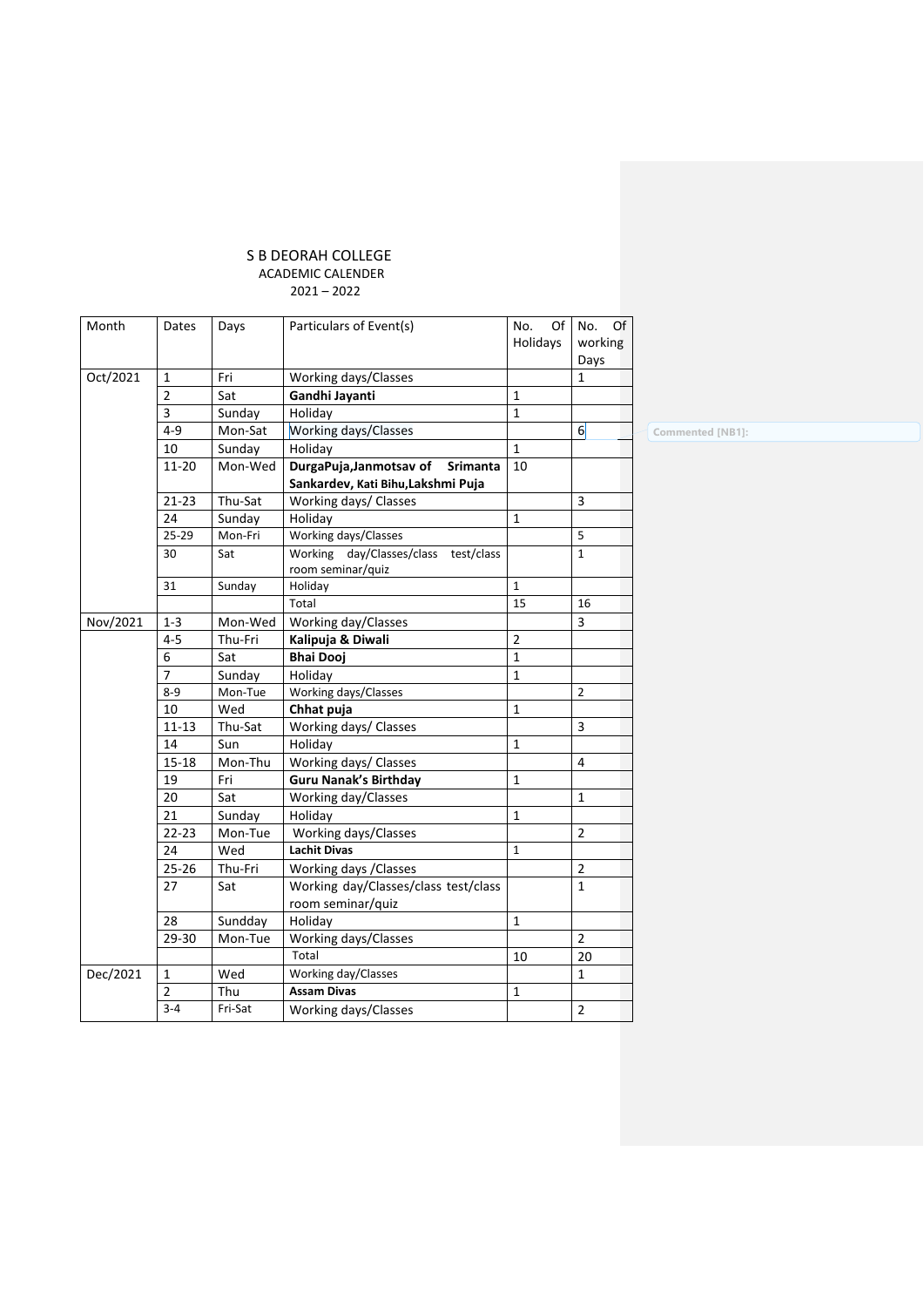## S B DEORAH COLLEGE ACADEMIC CALENDER 2021 – 2022

| Month    | Dates          | Days    | Particulars of Event(s)                                      | No.<br>Of      | No.<br>Of      |
|----------|----------------|---------|--------------------------------------------------------------|----------------|----------------|
|          |                |         |                                                              | Holidays       | working        |
|          |                |         |                                                              |                | Days           |
| Oct/2021 | 1              | Fri     | Working days/Classes                                         |                | 1              |
|          | $\overline{2}$ | Sat     | Gandhi Jayanti                                               | $\mathbf{1}$   |                |
|          | 3              | Sunday  | Holiday                                                      | $\mathbf{1}$   |                |
|          | $4 - 9$        | Mon-Sat | Working days/Classes                                         |                | $6 \mid$       |
|          | 10             | Sunday  | Holiday                                                      | $\mathbf{1}$   |                |
|          | 11-20          | Mon-Wed | DurgaPuja, Janmotsav of<br><b>Srimanta</b>                   | 10             |                |
|          |                |         | Sankardev, Kati Bihu, Lakshmi Puja                           |                |                |
|          | 21-23          | Thu-Sat | Working days/ Classes                                        |                | 3              |
|          | 24             | Sunday  | Holiday                                                      | $\mathbf{1}$   |                |
|          | 25-29          | Mon-Fri | Working days/Classes                                         |                | 5              |
|          | 30             | Sat     | Working day/Classes/class<br>test/class<br>room seminar/quiz |                | $\mathbf{1}$   |
|          | 31             | Sunday  | Holiday                                                      | $\mathbf{1}$   |                |
|          |                |         | Total                                                        | 15             | 16             |
| Nov/2021 | $1 - 3$        | Mon-Wed | Working day/Classes                                          |                | 3              |
|          | $4 - 5$        | Thu-Fri | Kalipuja & Diwali                                            | $\overline{2}$ |                |
|          | 6              | Sat     | <b>Bhai Dooj</b>                                             | 1              |                |
|          | $\overline{7}$ | Sunday  | Holiday                                                      | $\mathbf{1}$   |                |
|          | $8 - 9$        | Mon-Tue | Working days/Classes                                         |                | $\overline{2}$ |
|          | 10             | Wed     | Chhat puja                                                   | 1              |                |
|          | $11 - 13$      | Thu-Sat | Working days/ Classes                                        |                | 3              |
|          | 14             | Sun     | Holiday                                                      | $\mathbf{1}$   |                |
|          | $15 - 18$      | Mon-Thu | Working days/ Classes                                        |                | 4              |
|          | 19             | Fri     | <b>Guru Nanak's Birthday</b>                                 | 1              |                |
|          | 20             | Sat     | Working day/Classes                                          |                | $\mathbf{1}$   |
|          | 21             | Sunday  | Holiday                                                      | 1              |                |
|          | $22 - 23$      | Mon-Tue | Working days/Classes                                         |                | $\overline{2}$ |
|          | 24             | Wed     | <b>Lachit Divas</b>                                          | $\mathbf{1}$   |                |
|          | 25-26          | Thu-Fri | Working days / Classes                                       |                | 2              |
|          | 27             | Sat     | Working day/Classes/class test/class                         |                | $\mathbf{1}$   |
|          |                |         | room seminar/quiz                                            |                |                |
|          | 28             | Sundday | Holiday                                                      | 1              |                |
|          | 29-30          | Mon-Tue | Working days/Classes                                         |                | $\overline{2}$ |
|          |                |         | Total                                                        | 10             | 20             |
| Dec/2021 | 1              | Wed     | Working day/Classes                                          |                | 1              |
|          | $\overline{2}$ | Thu     | <b>Assam Divas</b>                                           | 1              |                |
|          | $3 - 4$        | Fri-Sat | Working days/Classes                                         |                | $\overline{2}$ |

**Commented [NB1]:**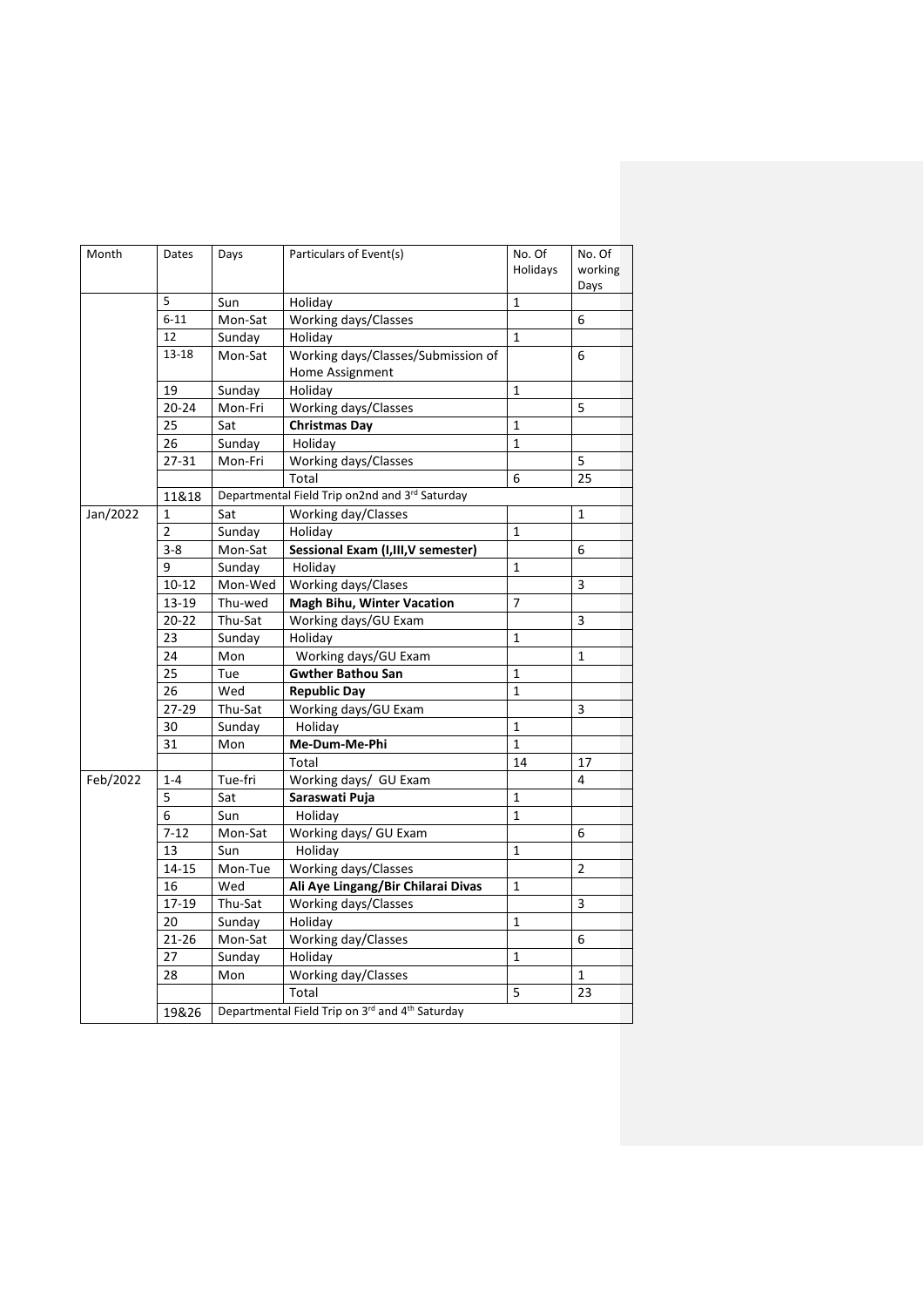| Holidays<br>working<br>Days<br>5<br>1<br>Sun<br>Holiday<br>$6 - 11$<br>Working days/Classes<br>Mon-Sat<br>6<br>12<br>$\mathbf{1}$<br>Sunday<br>Holiday<br>Working days/Classes/Submission of<br>13-18<br>Mon-Sat<br>6<br>Home Assignment<br>19<br>Holiday<br>Sunday<br>$\mathbf{1}$<br>Working days/Classes<br>$20 - 24$<br>Mon-Fri<br>5<br>25<br>Sat<br><b>Christmas Day</b><br>$\mathbf{1}$<br>26<br>Sunday<br>$\mathbf{1}$<br>Holiday<br>27-31<br>Working days/Classes<br>5<br>Mon-Fri<br>Total<br>25<br>6<br>Departmental Field Trip on2nd and 3rd Saturday<br>11&18<br>Working day/Classes<br>$\mathbf{1}$<br>1<br>Sat<br>$\overline{2}$<br>Sunday<br>Holiday<br>1<br>$3 - 8$<br>Sessional Exam (I, III, V semester)<br>6<br>Mon-Sat<br>9<br>Sunday<br>Holiday<br>1<br>Working days/Clases<br>3<br>$10 - 12$<br>Mon-Wed<br>13-19<br><b>Magh Bihu, Winter Vacation</b><br>Thu-wed<br>$\overline{7}$<br>3<br>$20 - 22$<br>Thu-Sat<br>Working days/GU Exam<br>23<br>Sunday<br>Holiday<br>$\mathbf{1}$<br>Working days/GU Exam<br>24<br>Mon<br>$\mathbf{1}$<br>25<br><b>Gwther Bathou San</b><br>Tue<br>1<br>26<br>Wed<br>$\mathbf{1}$<br><b>Republic Day</b><br>27-29<br>Working days/GU Exam<br>Thu-Sat<br>3<br>30<br>$\mathbf{1}$<br>Sunday<br>Holiday<br>Me-Dum-Me-Phi<br>31<br>Mon<br>$\mathbf{1}$<br>Total<br>14<br>17<br>Tue-fri<br>Working days/ GU Exam<br>4<br>$1 - 4$<br>5<br>Sat<br>Saraswati Puja<br>$\mathbf{1}$<br>$\mathbf{1}$<br>6<br>Sun<br>Holiday<br>$7 - 12$<br>Working days/ GU Exam<br>Mon-Sat<br>6<br>13<br>Holiday<br>$\mathbf{1}$<br>Sun<br>Working days/Classes<br>14-15<br>Mon-Tue<br>$\overline{2}$<br>16<br>Ali Aye Lingang/Bir Chilarai Divas<br>Wed<br>1<br>17-19<br>3<br>Thu-Sat<br>Working days/Classes<br>20<br>Sunday<br>Holiday<br>$\mathbf{1}$<br>Working day/Classes<br>$21 - 26$<br>Mon-Sat<br>6<br>Sunday<br>Holiday<br>27<br>1<br>Working day/Classes<br>28<br>Mon<br>1<br>Total<br>5<br>23<br>Departmental Field Trip on 3rd and 4 <sup>th</sup> Saturday<br>19&26 | Month    | Dates | Days | Particulars of Event(s) | No. Of | No. Of |
|----------------------------------------------------------------------------------------------------------------------------------------------------------------------------------------------------------------------------------------------------------------------------------------------------------------------------------------------------------------------------------------------------------------------------------------------------------------------------------------------------------------------------------------------------------------------------------------------------------------------------------------------------------------------------------------------------------------------------------------------------------------------------------------------------------------------------------------------------------------------------------------------------------------------------------------------------------------------------------------------------------------------------------------------------------------------------------------------------------------------------------------------------------------------------------------------------------------------------------------------------------------------------------------------------------------------------------------------------------------------------------------------------------------------------------------------------------------------------------------------------------------------------------------------------------------------------------------------------------------------------------------------------------------------------------------------------------------------------------------------------------------------------------------------------------------------------------------------------------------------------------------------------------------------------------------------------------------------------------------------------------------|----------|-------|------|-------------------------|--------|--------|
|                                                                                                                                                                                                                                                                                                                                                                                                                                                                                                                                                                                                                                                                                                                                                                                                                                                                                                                                                                                                                                                                                                                                                                                                                                                                                                                                                                                                                                                                                                                                                                                                                                                                                                                                                                                                                                                                                                                                                                                                                |          |       |      |                         |        |        |
|                                                                                                                                                                                                                                                                                                                                                                                                                                                                                                                                                                                                                                                                                                                                                                                                                                                                                                                                                                                                                                                                                                                                                                                                                                                                                                                                                                                                                                                                                                                                                                                                                                                                                                                                                                                                                                                                                                                                                                                                                |          |       |      |                         |        |        |
|                                                                                                                                                                                                                                                                                                                                                                                                                                                                                                                                                                                                                                                                                                                                                                                                                                                                                                                                                                                                                                                                                                                                                                                                                                                                                                                                                                                                                                                                                                                                                                                                                                                                                                                                                                                                                                                                                                                                                                                                                |          |       |      |                         |        |        |
|                                                                                                                                                                                                                                                                                                                                                                                                                                                                                                                                                                                                                                                                                                                                                                                                                                                                                                                                                                                                                                                                                                                                                                                                                                                                                                                                                                                                                                                                                                                                                                                                                                                                                                                                                                                                                                                                                                                                                                                                                |          |       |      |                         |        |        |
|                                                                                                                                                                                                                                                                                                                                                                                                                                                                                                                                                                                                                                                                                                                                                                                                                                                                                                                                                                                                                                                                                                                                                                                                                                                                                                                                                                                                                                                                                                                                                                                                                                                                                                                                                                                                                                                                                                                                                                                                                |          |       |      |                         |        |        |
|                                                                                                                                                                                                                                                                                                                                                                                                                                                                                                                                                                                                                                                                                                                                                                                                                                                                                                                                                                                                                                                                                                                                                                                                                                                                                                                                                                                                                                                                                                                                                                                                                                                                                                                                                                                                                                                                                                                                                                                                                |          |       |      |                         |        |        |
|                                                                                                                                                                                                                                                                                                                                                                                                                                                                                                                                                                                                                                                                                                                                                                                                                                                                                                                                                                                                                                                                                                                                                                                                                                                                                                                                                                                                                                                                                                                                                                                                                                                                                                                                                                                                                                                                                                                                                                                                                |          |       |      |                         |        |        |
|                                                                                                                                                                                                                                                                                                                                                                                                                                                                                                                                                                                                                                                                                                                                                                                                                                                                                                                                                                                                                                                                                                                                                                                                                                                                                                                                                                                                                                                                                                                                                                                                                                                                                                                                                                                                                                                                                                                                                                                                                |          |       |      |                         |        |        |
|                                                                                                                                                                                                                                                                                                                                                                                                                                                                                                                                                                                                                                                                                                                                                                                                                                                                                                                                                                                                                                                                                                                                                                                                                                                                                                                                                                                                                                                                                                                                                                                                                                                                                                                                                                                                                                                                                                                                                                                                                |          |       |      |                         |        |        |
|                                                                                                                                                                                                                                                                                                                                                                                                                                                                                                                                                                                                                                                                                                                                                                                                                                                                                                                                                                                                                                                                                                                                                                                                                                                                                                                                                                                                                                                                                                                                                                                                                                                                                                                                                                                                                                                                                                                                                                                                                |          |       |      |                         |        |        |
|                                                                                                                                                                                                                                                                                                                                                                                                                                                                                                                                                                                                                                                                                                                                                                                                                                                                                                                                                                                                                                                                                                                                                                                                                                                                                                                                                                                                                                                                                                                                                                                                                                                                                                                                                                                                                                                                                                                                                                                                                |          |       |      |                         |        |        |
|                                                                                                                                                                                                                                                                                                                                                                                                                                                                                                                                                                                                                                                                                                                                                                                                                                                                                                                                                                                                                                                                                                                                                                                                                                                                                                                                                                                                                                                                                                                                                                                                                                                                                                                                                                                                                                                                                                                                                                                                                |          |       |      |                         |        |        |
|                                                                                                                                                                                                                                                                                                                                                                                                                                                                                                                                                                                                                                                                                                                                                                                                                                                                                                                                                                                                                                                                                                                                                                                                                                                                                                                                                                                                                                                                                                                                                                                                                                                                                                                                                                                                                                                                                                                                                                                                                |          |       |      |                         |        |        |
|                                                                                                                                                                                                                                                                                                                                                                                                                                                                                                                                                                                                                                                                                                                                                                                                                                                                                                                                                                                                                                                                                                                                                                                                                                                                                                                                                                                                                                                                                                                                                                                                                                                                                                                                                                                                                                                                                                                                                                                                                | Jan/2022 |       |      |                         |        |        |
|                                                                                                                                                                                                                                                                                                                                                                                                                                                                                                                                                                                                                                                                                                                                                                                                                                                                                                                                                                                                                                                                                                                                                                                                                                                                                                                                                                                                                                                                                                                                                                                                                                                                                                                                                                                                                                                                                                                                                                                                                |          |       |      |                         |        |        |
|                                                                                                                                                                                                                                                                                                                                                                                                                                                                                                                                                                                                                                                                                                                                                                                                                                                                                                                                                                                                                                                                                                                                                                                                                                                                                                                                                                                                                                                                                                                                                                                                                                                                                                                                                                                                                                                                                                                                                                                                                |          |       |      |                         |        |        |
|                                                                                                                                                                                                                                                                                                                                                                                                                                                                                                                                                                                                                                                                                                                                                                                                                                                                                                                                                                                                                                                                                                                                                                                                                                                                                                                                                                                                                                                                                                                                                                                                                                                                                                                                                                                                                                                                                                                                                                                                                |          |       |      |                         |        |        |
|                                                                                                                                                                                                                                                                                                                                                                                                                                                                                                                                                                                                                                                                                                                                                                                                                                                                                                                                                                                                                                                                                                                                                                                                                                                                                                                                                                                                                                                                                                                                                                                                                                                                                                                                                                                                                                                                                                                                                                                                                |          |       |      |                         |        |        |
|                                                                                                                                                                                                                                                                                                                                                                                                                                                                                                                                                                                                                                                                                                                                                                                                                                                                                                                                                                                                                                                                                                                                                                                                                                                                                                                                                                                                                                                                                                                                                                                                                                                                                                                                                                                                                                                                                                                                                                                                                |          |       |      |                         |        |        |
|                                                                                                                                                                                                                                                                                                                                                                                                                                                                                                                                                                                                                                                                                                                                                                                                                                                                                                                                                                                                                                                                                                                                                                                                                                                                                                                                                                                                                                                                                                                                                                                                                                                                                                                                                                                                                                                                                                                                                                                                                |          |       |      |                         |        |        |
|                                                                                                                                                                                                                                                                                                                                                                                                                                                                                                                                                                                                                                                                                                                                                                                                                                                                                                                                                                                                                                                                                                                                                                                                                                                                                                                                                                                                                                                                                                                                                                                                                                                                                                                                                                                                                                                                                                                                                                                                                |          |       |      |                         |        |        |
|                                                                                                                                                                                                                                                                                                                                                                                                                                                                                                                                                                                                                                                                                                                                                                                                                                                                                                                                                                                                                                                                                                                                                                                                                                                                                                                                                                                                                                                                                                                                                                                                                                                                                                                                                                                                                                                                                                                                                                                                                |          |       |      |                         |        |        |
|                                                                                                                                                                                                                                                                                                                                                                                                                                                                                                                                                                                                                                                                                                                                                                                                                                                                                                                                                                                                                                                                                                                                                                                                                                                                                                                                                                                                                                                                                                                                                                                                                                                                                                                                                                                                                                                                                                                                                                                                                |          |       |      |                         |        |        |
|                                                                                                                                                                                                                                                                                                                                                                                                                                                                                                                                                                                                                                                                                                                                                                                                                                                                                                                                                                                                                                                                                                                                                                                                                                                                                                                                                                                                                                                                                                                                                                                                                                                                                                                                                                                                                                                                                                                                                                                                                |          |       |      |                         |        |        |
|                                                                                                                                                                                                                                                                                                                                                                                                                                                                                                                                                                                                                                                                                                                                                                                                                                                                                                                                                                                                                                                                                                                                                                                                                                                                                                                                                                                                                                                                                                                                                                                                                                                                                                                                                                                                                                                                                                                                                                                                                |          |       |      |                         |        |        |
|                                                                                                                                                                                                                                                                                                                                                                                                                                                                                                                                                                                                                                                                                                                                                                                                                                                                                                                                                                                                                                                                                                                                                                                                                                                                                                                                                                                                                                                                                                                                                                                                                                                                                                                                                                                                                                                                                                                                                                                                                |          |       |      |                         |        |        |
|                                                                                                                                                                                                                                                                                                                                                                                                                                                                                                                                                                                                                                                                                                                                                                                                                                                                                                                                                                                                                                                                                                                                                                                                                                                                                                                                                                                                                                                                                                                                                                                                                                                                                                                                                                                                                                                                                                                                                                                                                |          |       |      |                         |        |        |
|                                                                                                                                                                                                                                                                                                                                                                                                                                                                                                                                                                                                                                                                                                                                                                                                                                                                                                                                                                                                                                                                                                                                                                                                                                                                                                                                                                                                                                                                                                                                                                                                                                                                                                                                                                                                                                                                                                                                                                                                                |          |       |      |                         |        |        |
|                                                                                                                                                                                                                                                                                                                                                                                                                                                                                                                                                                                                                                                                                                                                                                                                                                                                                                                                                                                                                                                                                                                                                                                                                                                                                                                                                                                                                                                                                                                                                                                                                                                                                                                                                                                                                                                                                                                                                                                                                | Feb/2022 |       |      |                         |        |        |
|                                                                                                                                                                                                                                                                                                                                                                                                                                                                                                                                                                                                                                                                                                                                                                                                                                                                                                                                                                                                                                                                                                                                                                                                                                                                                                                                                                                                                                                                                                                                                                                                                                                                                                                                                                                                                                                                                                                                                                                                                |          |       |      |                         |        |        |
|                                                                                                                                                                                                                                                                                                                                                                                                                                                                                                                                                                                                                                                                                                                                                                                                                                                                                                                                                                                                                                                                                                                                                                                                                                                                                                                                                                                                                                                                                                                                                                                                                                                                                                                                                                                                                                                                                                                                                                                                                |          |       |      |                         |        |        |
|                                                                                                                                                                                                                                                                                                                                                                                                                                                                                                                                                                                                                                                                                                                                                                                                                                                                                                                                                                                                                                                                                                                                                                                                                                                                                                                                                                                                                                                                                                                                                                                                                                                                                                                                                                                                                                                                                                                                                                                                                |          |       |      |                         |        |        |
|                                                                                                                                                                                                                                                                                                                                                                                                                                                                                                                                                                                                                                                                                                                                                                                                                                                                                                                                                                                                                                                                                                                                                                                                                                                                                                                                                                                                                                                                                                                                                                                                                                                                                                                                                                                                                                                                                                                                                                                                                |          |       |      |                         |        |        |
|                                                                                                                                                                                                                                                                                                                                                                                                                                                                                                                                                                                                                                                                                                                                                                                                                                                                                                                                                                                                                                                                                                                                                                                                                                                                                                                                                                                                                                                                                                                                                                                                                                                                                                                                                                                                                                                                                                                                                                                                                |          |       |      |                         |        |        |
|                                                                                                                                                                                                                                                                                                                                                                                                                                                                                                                                                                                                                                                                                                                                                                                                                                                                                                                                                                                                                                                                                                                                                                                                                                                                                                                                                                                                                                                                                                                                                                                                                                                                                                                                                                                                                                                                                                                                                                                                                |          |       |      |                         |        |        |
|                                                                                                                                                                                                                                                                                                                                                                                                                                                                                                                                                                                                                                                                                                                                                                                                                                                                                                                                                                                                                                                                                                                                                                                                                                                                                                                                                                                                                                                                                                                                                                                                                                                                                                                                                                                                                                                                                                                                                                                                                |          |       |      |                         |        |        |
|                                                                                                                                                                                                                                                                                                                                                                                                                                                                                                                                                                                                                                                                                                                                                                                                                                                                                                                                                                                                                                                                                                                                                                                                                                                                                                                                                                                                                                                                                                                                                                                                                                                                                                                                                                                                                                                                                                                                                                                                                |          |       |      |                         |        |        |
|                                                                                                                                                                                                                                                                                                                                                                                                                                                                                                                                                                                                                                                                                                                                                                                                                                                                                                                                                                                                                                                                                                                                                                                                                                                                                                                                                                                                                                                                                                                                                                                                                                                                                                                                                                                                                                                                                                                                                                                                                |          |       |      |                         |        |        |
|                                                                                                                                                                                                                                                                                                                                                                                                                                                                                                                                                                                                                                                                                                                                                                                                                                                                                                                                                                                                                                                                                                                                                                                                                                                                                                                                                                                                                                                                                                                                                                                                                                                                                                                                                                                                                                                                                                                                                                                                                |          |       |      |                         |        |        |
|                                                                                                                                                                                                                                                                                                                                                                                                                                                                                                                                                                                                                                                                                                                                                                                                                                                                                                                                                                                                                                                                                                                                                                                                                                                                                                                                                                                                                                                                                                                                                                                                                                                                                                                                                                                                                                                                                                                                                                                                                |          |       |      |                         |        |        |
|                                                                                                                                                                                                                                                                                                                                                                                                                                                                                                                                                                                                                                                                                                                                                                                                                                                                                                                                                                                                                                                                                                                                                                                                                                                                                                                                                                                                                                                                                                                                                                                                                                                                                                                                                                                                                                                                                                                                                                                                                |          |       |      |                         |        |        |
|                                                                                                                                                                                                                                                                                                                                                                                                                                                                                                                                                                                                                                                                                                                                                                                                                                                                                                                                                                                                                                                                                                                                                                                                                                                                                                                                                                                                                                                                                                                                                                                                                                                                                                                                                                                                                                                                                                                                                                                                                |          |       |      |                         |        |        |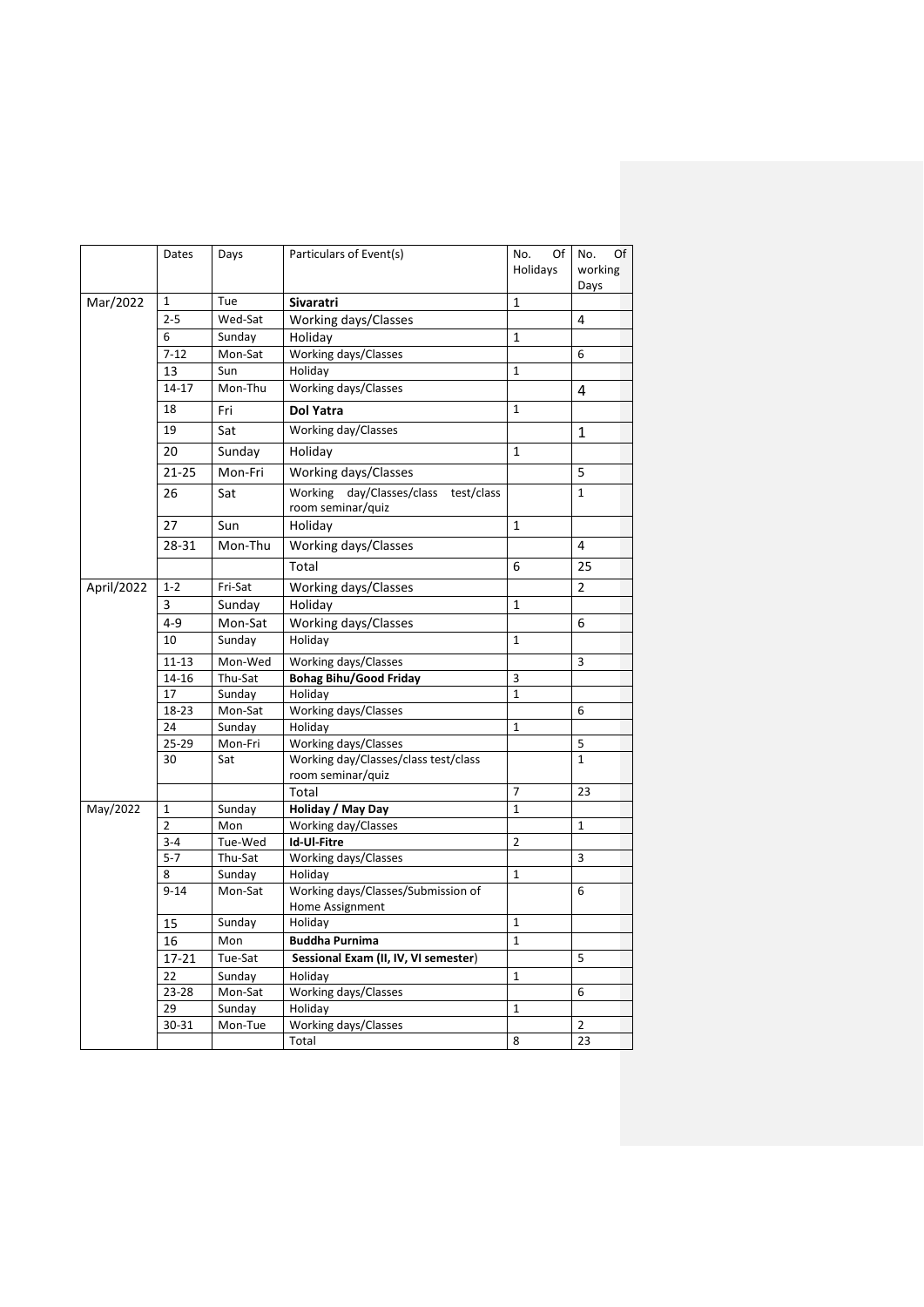|            | Dates          | Days    | Particulars of Event(s)                                      | No.<br>Of<br>Holidays | Of<br>No.<br>working<br>Days |
|------------|----------------|---------|--------------------------------------------------------------|-----------------------|------------------------------|
| Mar/2022   | $\mathbf{1}$   | Tue     | <b>Sivaratri</b>                                             | $\mathbf{1}$          |                              |
|            | $2 - 5$        | Wed-Sat | Working days/Classes                                         |                       | 4                            |
|            | 6              | Sunday  | Holiday                                                      | 1                     |                              |
|            | $7 - 12$       | Mon-Sat | Working days/Classes                                         |                       | 6                            |
|            | 13             | Sun     | Holiday                                                      | 1                     |                              |
|            | 14-17          | Mon-Thu | Working days/Classes                                         |                       | 4                            |
|            | 18             | Fri     | <b>Dol Yatra</b>                                             | 1                     |                              |
|            | 19             | Sat     | Working day/Classes                                          |                       | 1                            |
|            | 20             | Sunday  | Holiday                                                      | 1                     |                              |
|            | $21 - 25$      | Mon-Fri | Working days/Classes                                         |                       | 5                            |
|            | 26             | Sat     | Working day/Classes/class<br>test/class<br>room seminar/quiz |                       | $\mathbf{1}$                 |
|            | 27             | Sun     | Holiday                                                      | 1                     |                              |
|            | 28-31          | Mon-Thu | Working days/Classes                                         |                       | 4                            |
|            |                |         | Total                                                        | 6                     | 25                           |
| April/2022 | $1 - 2$        | Fri-Sat | Working days/Classes                                         |                       | 2                            |
|            | 3              | Sunday  | Holiday                                                      | 1                     |                              |
|            | $4 - 9$        | Mon-Sat | Working days/Classes                                         |                       | 6                            |
|            | 10             | Sunday  | Holiday                                                      | 1                     |                              |
|            | $11 - 13$      | Mon-Wed | Working days/Classes                                         |                       | 3                            |
|            | 14-16          | Thu-Sat | <b>Bohag Bihu/Good Friday</b>                                | 3                     |                              |
|            | 17             | Sunday  | Holiday                                                      | 1                     |                              |
|            | 18-23          | Mon-Sat | Working days/Classes                                         |                       | 6                            |
|            | 24             | Sunday  | Holiday                                                      | 1                     |                              |
|            | 25-29          | Mon-Fri | Working days/Classes                                         |                       | 5                            |
|            | 30             | Sat     | Working day/Classes/class test/class<br>room seminar/quiz    |                       | $\mathbf{1}$                 |
|            |                |         | Total                                                        | $\overline{7}$        | 23                           |
| May/2022   | $\mathbf 1$    | Sunday  | Holiday / May Day                                            | $\mathbf{1}$          |                              |
|            | $\overline{2}$ | Mon     | Working day/Classes                                          |                       | $\mathbf 1$                  |
|            | $3 - 4$        | Tue-Wed | Id-Ul-Fitre                                                  | 2                     |                              |
|            | $5 - 7$        | Thu-Sat | Working days/Classes                                         |                       | 3                            |
|            | 8              | Sunday  | Holiday                                                      | 1                     |                              |
|            | $9 - 14$       | Mon-Sat | Working days/Classes/Submission of<br>Home Assignment        |                       | 6                            |
|            | 15             | Sunday  | Holiday                                                      | $\mathbf{1}$          |                              |
|            | 16             | Mon     | <b>Buddha Purnima</b>                                        | $\mathbf{1}$          |                              |
|            | $17 - 21$      | Tue-Sat | Sessional Exam (II, IV, VI semester)                         |                       | 5                            |
|            | 22             | Sunday  | Holiday                                                      | 1                     |                              |
|            | 23-28          | Mon-Sat | Working days/Classes                                         |                       | 6                            |
|            | 29             | Sunday  | Holiday                                                      | 1                     |                              |
|            | $30 - 31$      | Mon-Tue | Working days/Classes                                         |                       | $\overline{2}$               |
|            |                |         | Total                                                        | 8                     | 23                           |